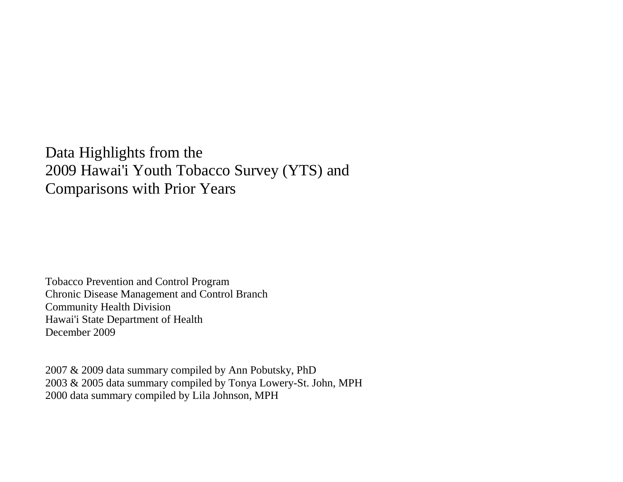Data Highlights from the 2009 Hawai'i Youth Tobacco Survey (YTS) and Comparisons with Prior Years

Tobacco Prevention and Control Program Chronic Disease Management and Control Branch Community Health Division Hawai'i State Department of Health December 2009

2007 & 2009 data summary compiled by Ann Pobutsky, PhD 2003 & 2005 data summary compiled by Tonya Lowery-St. John, MPH 2000 data summary compiled by Lila Johnson, MPH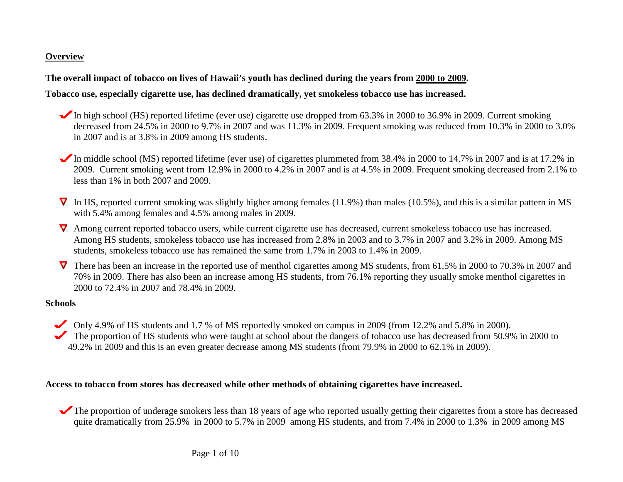### **Overview**

### **The overall impact of tobacco on lives of Hawaii's youth has declined during the years from 2000 to 2009 .**

### **Tobacco use, especially cigarette use, has declined dramatically, yet smokeless tobacco use has increased.**

- In high school (HS) reported lifetime (ever use) cigarette use dropped from  $63.3\%$  in 2000 to 36.9% in 2009. Current smoking decreased from 24.5% in 2000 to 9.7% in 2007 and was 11.3% in 2009. Frequent smoking was reduced from 10.3% in 2000 to 3.0% in 2007 and is at 3.8% in 2009 among HS students.
- In middle school (MS) reported lifetime (ever use) of cigarettes plummeted from 38.4% in 2000 to 14.7% in 2007 and is at 17.2% in 2009. Current smoking went from 12.9% in 2000 to 4.2% in 2007 and is at 4.5% in 2009. Frequent smoking decreased from 2.1% to less than 1% in both 2007 and 2009.
- $\nabla$  In HS, reported current smoking was slightly higher among females (11.9%) than males (10.5%), and this is a similar pattern in MS with 5.4% among females and 4.5% among males in 2009.
- **V** Among current reported tobacco users, while current cigarette use has decreased, current smokeless tobacco use has increased. Among HS students, smokeless tobacco use has increased from 2.8% in 2003 and to 3.7% in 2007 and 3.2% in 2009. Among MS students, smokeless tobacco use has remained the same from 1.7% in 2003 to 1.4% in 2009.
- **V** There has been an increase in the reported use of menthol cigarettes among MS students, from 61.5% in 2000 to 70.3% in 2007 and 70% in 2009. There has also been an increase among HS students, from 76.1% reporting they usually smoke menthol cigarettes in 2000 to 72.4% in 2007 and 78.4% in 2009.

#### **Schools**

- Only 4.9% of HS students and 1.7 % of MS reportedly smoked on campus in 2009 (from 12.2% and 5.8% in 2000).
- The proportion of HS students who were taught at school about the dangers of tobacco use has decreased from 50.9% in 2000 to 49.2% in 2009 and this is an even greater decrease among MS students (from 79.9% in 2000 to 62.1% in 2009).

#### **Access to tobacco from stores has decreased while other methods of obtaining cigarettes have increased.**

The proportion of underage smokers less than 18 years of age who reported usually getting their cigarettes from a store has decreased quite dramatically from 25.9% in 2000 to 5.7% in 2009 among HS students, and from 7.4% in 2000 to 1.3% in 2009 among MS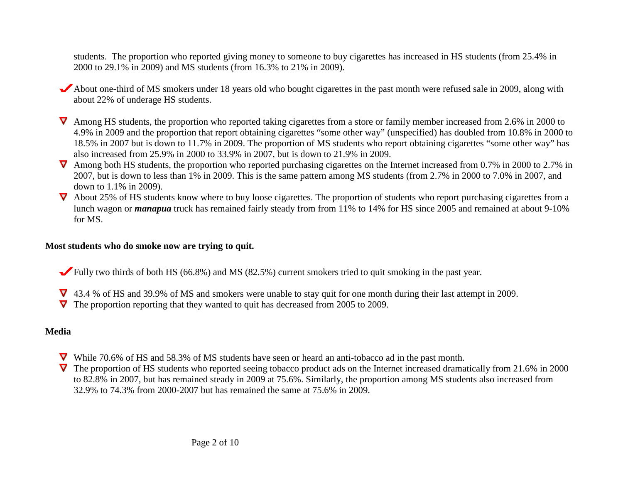students. The proportion who reported giving money to someone to buy cigarettes has increased in HS students (from 25.4% in 2000 to 29.1% in 2009) and MS students (from 16.3% to 21% in 2009).

- About one-third of MS smokers under 18 years old who bought cigarettes in the past month were refused sale in 2009, along with about 22% of underage HS students.
- **V** Among HS students, the proportion who reported taking cigarettes from a store or family member increased from 2.6% in 2000 to 4.9% in 2009 and the proportion that report obtaining cigarettes "some other way" (unspecified) has doubled from 10.8% in 2000 to 18.5% in 2007 but is down to 11.7% in 2009. The proportion of MS students who report obtaining cigarettes "some other way" has also increased from 25.9% in 2000 to 33.9% in 2007, but is down to 21.9% in 2009.
- $\nabla$  Among both HS students, the proportion who reported purchasing cigarettes on the Internet increased from 0.7% in 2000 to 2.7% in 2007, but is down to less than 1% in 2009. This is the same pattern among MS students (from 2.7% in 2000 to 7.0% in 2007, and down to 1.1% in 2009).
- $\nabla$  About 25% of HS students know where to buy loose cigarettes. The proportion of students who report purchasing cigarettes from a lunch wagon or *manapua* truck has remained fairly steady from from 11% to 14% for HS since 2005 and remained at about 9-10% for MS.

### **Most students who do smoke now are trying to quit.**

- Fully two thirds of both HS (66.8%) and MS (82.5%) current smokers tried to quit smoking in the past year.
- 43.4 % of HS and 39.9% of MS and smokers were unable to stay quit for one month during their last attempt in 2009.
- The proportion reporting that they wanted to quit has decreased from 2005 to 2009.

## **Media**

- While 70.6% of HS and 58.3% of MS students have seen or heard an anti-tobacco ad in the past month.
- The proportion of HS students who reported seeing tobacco product ads on the Internet increased dramatically from 21.6% in 2000 to 82.8% in 2007, but has remained steady in 2009 at 75.6%. Similarly, the proportion among MS students also increased from 32.9% to 74.3% from 2000-2007 but has remained the same at 75.6% in 2009.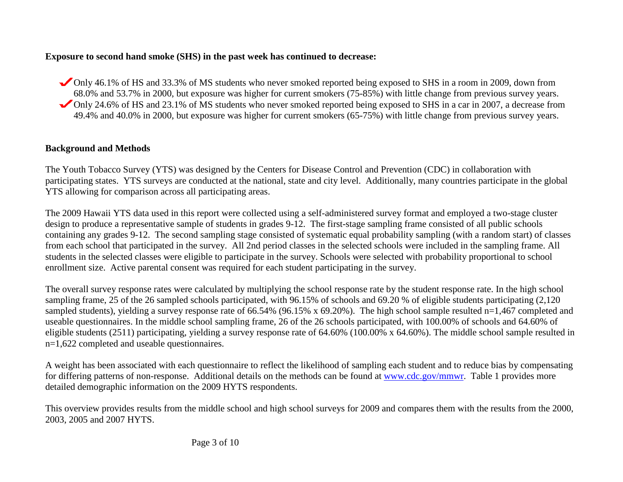## **Exposure to second hand smoke (SHS) in the past week has continued to decrease:**

Only 46.1% of HS and 33.3% of MS students who never smoked reported being exposed to SHS in a room in 2009, down from 68.0% and 53.7% in 2000, but exposure was higher for current smokers (75-85%) with little change from previous survey years. Only 24.6% of HS and 23.1% of MS students who never smoked reported being exposed to SHS in a car in 2007, a decrease from 49.4% and 40.0% in 2000, but exposure was higher for current smokers (65-75%) with little change from previous survey years.

# **Background and Methods**

The Youth Tobacco Survey (YTS) was designed by the Centers for Disease Control and Prevention (CDC) in collaboration with participating states. YTS surveys are conducted at the national, state and city level. Additionally, many countries participate in the global YTS allowing for comparison across all participating areas.

The 2009 Hawaii YTS data used in this report were collected using a self-administered survey format and employed a two-stage cluster design to produce a representative sample of students in grades 9-12. The first-stage sampling frame consisted of all public schools containing any grades 9-12. The second sampling stage consisted of systematic equal probability sampling (with a random start) of classes from each school that participated in the survey. All 2nd period classes in the selected schools were included in the sampling frame. All students in the selected classes were eligible to participate in the survey. Schools were selected with probability proportional to school enrollment size. Active parental consent was required for each student participating in the survey.

The overall survey response rates were calculated by multiplying the school response rate by the student response rate. In the high school sampling frame, 25 of the 26 sampled schools participated, with 96.15% of schools and 69.20 % of eligible students participating (2,120 sampled students), yielding a survey response rate of 66.54% (96.15% x 69.20%). The high school sample resulted n=1,467 completed and useable questionnaires. In the middle school sampling frame, 26 of the 26 schools participated, with 100.00% of schools and 64.60% of eligible students (2511) participating, yielding a survey response rate of 64.60% (100.00% x 64.60%). The middle school sample resulted in n=1,622 completed and useable questionnaires.

A weight has been associated with each questionnaire to reflect the likelihood of sampling each student and to reduce bias by compensating for differing patterns of non-response. Additional details on the methods can be found at [www.cdc.gov/mmwr.](http://www.cdc.gov/mmwr/PDF/ss/ss5004.pdf) Table 1 provides more detailed demographic information on the 2009 HYTS respondents.

This overview provides results from the middle school and high school surveys for 2009 and compares them with the results from the 2000, 2003, 2005 and 2007 HYTS.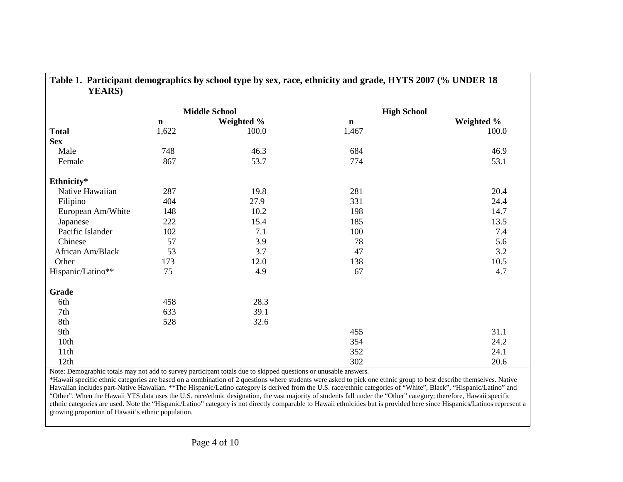| <b>YEARS</b> )    |             |                      |                    |            |
|-------------------|-------------|----------------------|--------------------|------------|
|                   |             | <b>Middle School</b> | <b>High School</b> |            |
|                   | $\mathbf n$ | Weighted %           | $\mathbf n$        | Weighted % |
| <b>Total</b>      | 1,622       | 100.0                | 1,467              | 100.0      |
| <b>Sex</b>        |             |                      |                    |            |
| Male              | 748         | 46.3                 | 684                | 46.9       |
| Female            | 867         | 53.7                 | 774                | 53.1       |
| Ethnicity*        |             |                      |                    |            |
| Native Hawaiian   | 287         | 19.8                 | 281                | 20.4       |
| Filipino          | 404         | 27.9                 | 331                | 24.4       |
| European Am/White | 148         | 10.2                 | 198                | 14.7       |
| Japanese          | 222         | 15.4                 | 185                | 13.5       |
| Pacific Islander  | 102         | 7.1                  | 100                | 7.4        |
| Chinese           | 57          | 3.9                  | 78                 | 5.6        |
| African Am/Black  | 53          | 3.7                  | 47                 | 3.2        |
| Other             | 173         | 12.0                 | 138                | 10.5       |
| Hispanic/Latino** | 75          | 4.9                  | 67                 | 4.7        |
| Grade             |             |                      |                    |            |
| 6th               | 458         | 28.3                 |                    |            |
| 7th               | 633         | 39.1                 |                    |            |
| 8th               | 528         | 32.6                 |                    |            |
| 9th               |             |                      | 455                | 31.1       |
| 10th              |             |                      | 354                | 24.2       |
| 11th              |             |                      | 352                | 24.1       |
| 12th              |             |                      | 302                | 20.6       |

**Table 1. Participant demographics by school type by sex, race, ethnicity and grade, HYTS 2007 (% UNDER 18** 

Note: Demographic totals may not add to survey participant totals due to skipped questions or unusable answers.

\*Hawaii specific ethnic categories are based on a combination of 2 questions where students were asked to pick one ethnic group to best describe themselves. Native Hawaiian includes part-Native Hawaiian. \*\*The Hispanic/Latino category is derived from the U.S. race/ethnic categories of "White", Black", "Hispanic/Latino" and "Other". When the Hawaii YTS data uses the U.S. race/ethnic designation, the vast majority of students fall under the "Other" category; therefore, Hawaii specific ethnic categories are used. Note the "Hispanic/Latino" category is not directly comparable to Hawaii ethnicities but is provided here since Hispanics/Latinos represent a growing proportion of Hawaii's ethnic population.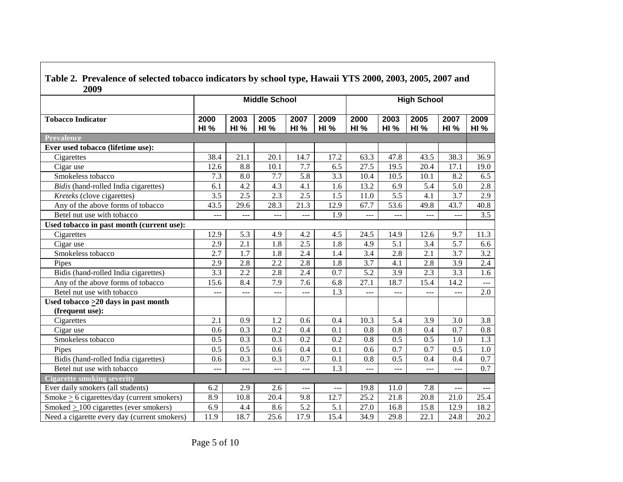| Table 2. Prevalence of selected tobacco indicators by school type, Hawaii YTS 2000, 2003, 2005, 2007 and<br>2009 |                      |                     |                     |                     |                     |                     |                     |                     |                     |                     |  |  |
|------------------------------------------------------------------------------------------------------------------|----------------------|---------------------|---------------------|---------------------|---------------------|---------------------|---------------------|---------------------|---------------------|---------------------|--|--|
|                                                                                                                  | <b>Middle School</b> |                     |                     |                     |                     | <b>High School</b>  |                     |                     |                     |                     |  |  |
| <b>Tobacco Indicator</b>                                                                                         | 2000<br><b>HI %</b>  | 2003<br><b>HI %</b> | 2005<br><b>HI %</b> | 2007<br><b>HI %</b> | 2009<br><b>HI %</b> | 2000<br><b>HI %</b> | 2003<br><b>HI %</b> | 2005<br><b>HI %</b> | 2007<br><b>HI %</b> | 2009<br><b>HI %</b> |  |  |
| <b>Prevalence</b>                                                                                                |                      |                     |                     |                     |                     |                     |                     |                     |                     |                     |  |  |
| Ever used tobacco (lifetime use):                                                                                |                      |                     |                     |                     |                     |                     |                     |                     |                     |                     |  |  |
| Cigarettes                                                                                                       | 38.4                 | 21.1                | 20.1                | 14.7                | 17.2                | 63.3                | 47.8                | 43.5                | 38.3                | 36.9                |  |  |
| Cigar use                                                                                                        | 12.6                 | 8.8                 | 10.1                | 7.7                 | 6.5                 | 27.5                | 19.5                | 20.4                | 17.1                | 19.0                |  |  |
| Smokeless tobacco                                                                                                | 7.3                  | 8.0                 | 7.7                 | 5.8                 | 3.3                 | 10.4                | 10.5                | 10.1                | 8.2                 | 6.5                 |  |  |
| Bidis (hand-rolled India cigarettes)                                                                             | 6.1                  | 4.2                 | 4.3                 | 4.1                 | 1.6                 | 13.2                | 6.9                 | 5.4                 | 5.0                 | 2.8                 |  |  |
| Kreteks (clove cigarettes)                                                                                       | 3.5                  | 2.5                 | 2.3                 | 2.5                 | 1.5                 | 11.0                | 5.5                 | 4.1                 | 3.7                 | 2.9                 |  |  |
| Any of the above forms of tobacco                                                                                | 43.5                 | 29.6                | 28.3                | 21.3                | 12.9                | 67.7                | 53.6                | 49.8                | 43.7                | 40.8                |  |  |
| Betel nut use with tobacco                                                                                       | $---$                |                     | ---                 | $---$               | 1.9                 | $-$                 |                     |                     | ---                 | 3.5                 |  |  |
| Used tobacco in past month (current use):                                                                        |                      |                     |                     |                     |                     |                     |                     |                     |                     |                     |  |  |
| Cigarettes                                                                                                       | 12.9                 | 5.3                 | 4.9                 | 4.2                 | 4.5                 | 24.5                | 14.9                | 12.6                | 9.7                 | 11.3                |  |  |
| Cigar use                                                                                                        | 2.9                  | 2.1                 | 1.8                 | 2.5                 | 1.8                 | 4.9                 | 5.1                 | 3.4                 | 5.7                 | 6.6                 |  |  |
| Smokeless tobacco                                                                                                | 2.7                  | 1.7                 | 1.8                 | 2.4                 | 1.4                 | 3.4                 | 2.8                 | 2.1                 | 3.7                 | 3.2                 |  |  |
| Pipes                                                                                                            | 2.9                  | $\overline{2.8}$    | $\overline{2.2}$    | $\overline{2.8}$    | 1.8                 | $\overline{3.7}$    | 4.1                 | $\overline{2.8}$    | 3.9                 | $\overline{2.4}$    |  |  |
| Bidis (hand-rolled India cigarettes)                                                                             | 3.3                  | 2.2                 | 2.8                 | 2.4                 | 0.7                 | $\overline{5.2}$    | 3.9                 | 2.3                 | 3.3                 | 1.6                 |  |  |
| Any of the above forms of tobacco                                                                                | 15.6                 | 8.4                 | 7.9                 | 7.6                 | 6.8                 | 27.1                | 18.7                | 15.4                | 14.2                | $---$               |  |  |
| Betel nut use with tobacco                                                                                       | ---                  | ---                 | $---$               | ---                 | 1.3                 | ---                 | $\overline{a}$      | $\overline{a}$      | ---                 | 2.0                 |  |  |
| Used tobacco $\geq$ 20 days in past month                                                                        |                      |                     |                     |                     |                     |                     |                     |                     |                     |                     |  |  |
| (frequent use):                                                                                                  |                      |                     |                     |                     |                     |                     |                     |                     |                     |                     |  |  |
| Cigarettes                                                                                                       | 2.1                  | 0.9                 | 1.2                 | 0.6                 | 0.4                 | 10.3                | 5.4                 | 3.9                 | 3.0                 | 3.8                 |  |  |
| Cigar use                                                                                                        | 0.6                  | 0.3                 | 0.2                 | 0.4                 | 0.1                 | 0.8                 | 0.8                 | 0.4                 | 0.7                 | 0.8                 |  |  |
| Smokeless tobacco                                                                                                | 0.5                  | 0.3                 | 0.3                 | 0.2                 | 0.2                 | 0.8                 | 0.5                 | 0.5                 | 1.0                 | 1.3                 |  |  |
| Pipes                                                                                                            | 0.5                  | 0.5                 | 0.6                 | 0.4                 | 0.1                 | 0.6                 | 0.7                 | 0.7                 | 0.5                 | 1.0                 |  |  |
| Bidis (hand-rolled India cigarettes)                                                                             | 0.6                  | 0.3                 | 0.3                 | 0.7                 | 0.1                 | 0.8                 | 0.5                 | 0.4                 | 0.4                 | 0.7                 |  |  |
| Betel nut use with tobacco                                                                                       | ---                  | ---                 | ---                 | $\overline{a}$      | 1.3                 | $\overline{a}$      | $\overline{a}$      | $---$               | ---                 | 0.7                 |  |  |
| <b>Cigarette smoking severity</b>                                                                                |                      |                     |                     |                     |                     |                     |                     |                     |                     |                     |  |  |
| Ever daily smokers (all students)                                                                                | 6.2                  | 2.9                 | 2.6                 | $ -$                | $ -$                | 19.8                | 11.0                | 7.8                 | ---                 | $---$               |  |  |
| Smoke $\geq$ 6 cigarettes/day (current smokers)                                                                  | 8.9                  | 10.8                | 20.4                | 9.8                 | 12.7                | 25.2                | 21.8                | 20.8                | 21.0                | 25.4                |  |  |
| Smoked $\geq$ 100 cigarettes (ever smokers)                                                                      | 6.9                  | 4.4                 | 8.6                 | 5.2                 | 5.1                 | 27.0                | 16.8                | 15.8                | 12.9                | 18.2                |  |  |
| Need a cigarette every day (current smokers)                                                                     | 11.9                 | 18.7                | 25.6                | 17.9                | 15.4                | 34.9                | 29.8                | 22.1                | 24.8                | 20.2                |  |  |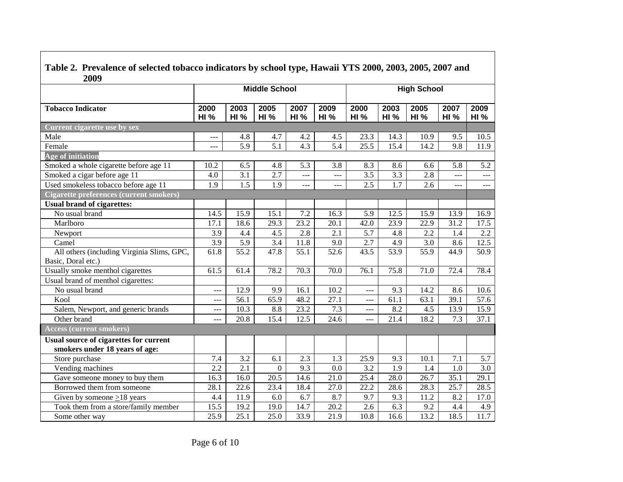| Treatment of selected toouted indicators by selloof type, flumant TTD 2000, 2000, 2000, 2007<br>2009 |                      |                     |                     |                     |                     |                     |                     |                     |                     |                     |  |  |
|------------------------------------------------------------------------------------------------------|----------------------|---------------------|---------------------|---------------------|---------------------|---------------------|---------------------|---------------------|---------------------|---------------------|--|--|
|                                                                                                      | <b>Middle School</b> |                     |                     |                     |                     |                     |                     | <b>High School</b>  |                     |                     |  |  |
| <b>Tobacco Indicator</b>                                                                             | 2000<br><b>HI %</b>  | 2003<br><b>HI %</b> | 2005<br><b>HI %</b> | 2007<br><b>HI %</b> | 2009<br><b>HI %</b> | 2000<br><b>HI %</b> | 2003<br><b>HI %</b> | 2005<br><b>HI %</b> | 2007<br><b>HI %</b> | 2009<br><b>HI %</b> |  |  |
| Current cigarette use by sex                                                                         |                      |                     |                     |                     |                     |                     |                     |                     |                     |                     |  |  |
| Male                                                                                                 | $\qquad \qquad -$    | 4.8                 | 4.7                 | 4.2                 | 4.5                 | 23.3                | 14.3                | 10.9                | 9.5                 | 10.5                |  |  |
| Female                                                                                               | $\frac{1}{2}$        | 5.9                 | 5.1                 | 4.3                 | 5.4                 | 25.5                | 15.4                | 14.2                | 9.8                 | 11.9                |  |  |
| Age of initiation                                                                                    |                      |                     |                     |                     |                     |                     |                     |                     |                     |                     |  |  |
| Smoked a whole cigarette before age 11                                                               | 10.2                 | 6.5                 | 4.8                 | 5.3                 | 3.8                 | 8.3                 | 8.6                 | 6.6                 | 5.8                 | 5.2                 |  |  |
| Smoked a cigar before age 11                                                                         | 4.0                  | $\overline{3.1}$    | 2.7                 | $\overline{a}$      | $ -$                | 3.5                 | 3.3                 | 2.8                 | $\overline{a}$      | $ -$                |  |  |
| Used smokeless tobacco before age 11                                                                 | 1.9                  | 1.5                 | 1.9                 | $\overline{a}$      | $---$               | 2.5                 | 1.7                 | 2.6                 | $\frac{1}{2}$       | ---                 |  |  |
| <b>Cigarette preferences (current smokers)</b>                                                       |                      |                     |                     |                     |                     |                     |                     |                     |                     |                     |  |  |
| <b>Usual brand of cigarettes:</b>                                                                    |                      |                     |                     |                     |                     |                     |                     |                     |                     |                     |  |  |
| No usual brand                                                                                       | 14.5                 | 15.9                | 15.1                | 7.2                 | 16.3                | 5.9                 | 12.5                | 15.9                | 13.9                | 16.9                |  |  |
| Marlboro                                                                                             | 17.1                 | 18.6                | 29.3                | 23.2                | 20.1                | 42.0                | 23.9                | 22.9                | 31.2                | 17.5                |  |  |
| Newport                                                                                              | $\overline{3.9}$     | 4.4                 | $\overline{4.5}$    | $\overline{2.8}$    | 2.1                 | $\overline{5.7}$    | 4.8                 | $\overline{2.2}$    | 1.4                 | $\overline{2.2}$    |  |  |
| Camel                                                                                                | $\overline{3.9}$     | $\overline{5.9}$    | $\overline{3.4}$    | 11.8                | 9.0                 | $\overline{2.7}$    | 4.9                 | $\overline{3.0}$    | 8.6                 | 12.5                |  |  |
| All others (including Virginia Slims, GPC,<br>Basic, Doral etc.)                                     | 61.8                 | $\overline{55.2}$   | 47.8                | 55.1                | 52.6                | 43.5                | 53.9                | 55.9                | 44.9                | 50.9                |  |  |
| Usually smoke menthol cigarettes                                                                     | 61.5                 | 61.4                | 78.2                | 70.3                | 70.0                | 76.1                | 75.8                | 71.0                | 72.4                | 78.4                |  |  |
| Usual brand of menthol cigarettes:                                                                   |                      |                     |                     |                     |                     |                     |                     |                     |                     |                     |  |  |
| No usual brand                                                                                       | ---                  | 12.9                | 9.9                 | 16.1                | $10.\overline{2}$   | $---$               | 9.3                 | 14.2                | 8.6                 | 10.6                |  |  |
| Kool                                                                                                 | ---                  | 56.1                | $65.\overline{9}$   | 48.2                | 27.1                | ---                 | 61.1                | 63.1                | 39.1                | $\overline{57.6}$   |  |  |
| Salem, Newport, and generic brands                                                                   | $---$                | 10.3                | 8.8                 | 23.2                | 7.3                 | ---                 | 8.2                 | 4.5                 | 13.9                | 15.9                |  |  |
| Other brand                                                                                          |                      | 20.8                | 15.4                | 12.5                | 24.6                | ---                 | 21.4                | 18.2                | 7.3                 | 37.1                |  |  |
| <b>Access (current smokers)</b>                                                                      |                      |                     |                     |                     |                     |                     |                     |                     |                     |                     |  |  |
| Usual source of cigarettes for current<br>smokers under 18 years of age:                             |                      |                     |                     |                     |                     |                     |                     |                     |                     |                     |  |  |
| Store purchase                                                                                       | 7.4                  | 3.2                 | 6.1                 | $\overline{2.3}$    | 1.3                 | 25.9                | 9.3                 | 10.1                | 7.1                 | 5.7                 |  |  |
| Vending machines                                                                                     | 2.2                  | 2.1                 | $\overline{0}$      | 9.3                 | 0.0                 | 3.2                 | 1.9                 | 1.4                 | 1.0                 | 3.0                 |  |  |
| Gave someone money to buy them                                                                       | 16.3                 | 16.0                | $\overline{20.5}$   | 14.6                | 21.0                | 25.4                | 28.0                | 26.7                | 35.1                | 29.1                |  |  |
| Borrowed them from someone                                                                           | 28.1                 | 22.6                | 23.4                | 18.4                | 27.0                | $\overline{22.2}$   | 28.6                | $\overline{28.3}$   | 25.7                | 28.5                |  |  |
| Given by someone $\geq$ 18 years                                                                     | 4.4                  | 11.9                | 6.0                 | 6.7                 | 8.7                 | 9.7                 | 9.3                 | 11.2                | 8.2                 | 17.0                |  |  |
| Took them from a store/family member                                                                 | 15.5                 | 19.2                | 19.0                | 14.7                | 20.2                | 2.6                 | 6.3                 | 9.2                 | 4.4                 | 4.9                 |  |  |
| Some other way                                                                                       | 25.9                 | 25.1                | 25.0                | 33.9                | 21.9                | 10.8                | 16.6                | 13.2                | 18.5                | $\overline{11.7}$   |  |  |

**Table 2. Prevalence of selected tobacco indicators by school type, Hawaii YTS 2000, 2003, 2005, 2007 and**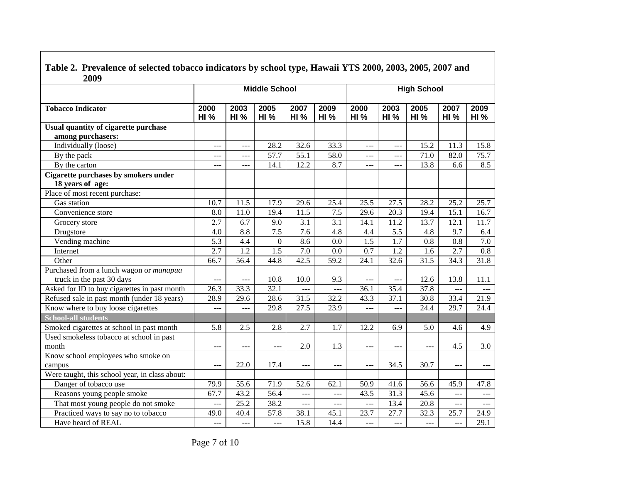| Table 2. Prevalence of selected tobacco indicators by school type, Hawaii YTS 2000, 2003, 2005, 2007 and |
|----------------------------------------------------------------------------------------------------------|
| 2009                                                                                                     |

|                                                           | <b>Middle School</b> |                     |                     |                      |                     | <b>High School</b>  |                     |                     |                      |                     |  |
|-----------------------------------------------------------|----------------------|---------------------|---------------------|----------------------|---------------------|---------------------|---------------------|---------------------|----------------------|---------------------|--|
| <b>Tobacco Indicator</b>                                  | 2000<br><b>HI %</b>  | 2003<br><b>HI %</b> | 2005<br><b>HI %</b> | 2007<br>HI%          | 2009<br><b>HI %</b> | 2000<br><b>HI %</b> | 2003<br><b>HI %</b> | 2005<br><b>HI %</b> | 2007<br><b>HI %</b>  | 2009<br><b>HI %</b> |  |
| Usual quantity of cigarette purchase<br>among purchasers: |                      |                     |                     |                      |                     |                     |                     |                     |                      |                     |  |
| Individually (loose)                                      | $---$                | ---                 | 28.2                | 32.6                 | 33.3                | $---$               | ---                 | 15.2                | 11.3                 | 15.8                |  |
| By the pack                                               | ---                  | ---                 | 57.7                | 55.1                 | 58.0                | ---                 | ---                 | 71.0                | 82.0                 | 75.7                |  |
| By the carton                                             | $-$                  | $---$               | 14.1                | 12.2                 | 8.7                 | ---                 | $\frac{1}{2}$       | 13.8                | 6.6                  | 8.5                 |  |
| Cigarette purchases by smokers under                      |                      |                     |                     |                      |                     |                     |                     |                     |                      |                     |  |
| 18 years of age:                                          |                      |                     |                     |                      |                     |                     |                     |                     |                      |                     |  |
| Place of most recent purchase:                            |                      |                     |                     |                      |                     |                     |                     |                     |                      |                     |  |
| Gas station                                               | 10.7                 | 11.5                | 17.9                | 29.6                 | 25.4                | 25.5                | 27.5                | 28.2                | 25.2                 | 25.7                |  |
| Convenience store                                         | 8.0                  | 11.0                | 19.4                | 11.5                 | 7.5                 | 29.6                | 20.3                | 19.4                | 15.1                 | 16.7                |  |
| Grocery store                                             | 2.7                  | 6.7                 | 9.0                 | 3.1                  | 3.1                 | 14.1                | 11.2                | 13.7                | 12.1                 | 11.7                |  |
| Drugstore                                                 | 4.0                  | 8.8                 | 7.5                 | 7.6                  | 4.8                 | 4.4                 | 5.5                 | 4.8                 | 9.7                  | 6.4                 |  |
| Vending machine                                           | 5.3                  | 4.4                 | $\overline{0}$      | 8.6                  | 0.0                 | $\overline{1.5}$    | 1.7                 | 0.8                 | 0.8                  | $\overline{7.0}$    |  |
| Internet                                                  | 2.7                  | $\overline{1.2}$    | $\overline{1.5}$    | 7.0                  | 0.0                 | 0.7                 | 1.2                 | 1.6                 | 2.7                  | $\overline{0.8}$    |  |
| Other                                                     | 66.7                 | 56.4                | 44.8                | 42.5                 | $\overline{59.2}$   | $\overline{24.1}$   | 32.6                | 31.5                | 34.3                 | 31.8                |  |
| Purchased from a lunch wagon or manapua                   |                      |                     |                     |                      |                     |                     |                     |                     |                      |                     |  |
| truck in the past 30 days                                 | $---$                | $- - -$             | 10.8                | 10.0                 | 9.3                 | $- - -$             | $---$               | 12.6                | 13.8                 | 11.1                |  |
| Asked for ID to buy cigarettes in past month              | 26.3                 | 33.3                | 32.1                | $ -$                 | $ -$                | 36.1                | 35.4                | 37.8                | $ -$                 | ---                 |  |
| Refused sale in past month (under 18 years)               | 28.9                 | $\overline{29.6}$   | 28.6                | 31.5                 | 32.2                | 43.3                | 37.1                | 30.8                | 33.4                 | $\overline{21.9}$   |  |
| Know where to buy loose cigarettes                        | ---                  | ---                 | 29.8                | 27.5                 | 23.9                | $ -$                | ---                 | 24.4                | 29.7                 | 24.4                |  |
| <b>School-all students</b>                                |                      |                     |                     |                      |                     |                     |                     |                     |                      |                     |  |
| Smoked cigarettes at school in past month                 | 5.8                  | 2.5                 | 2.8                 | 2.7                  | 1.7                 | 12.2                | 6.9                 | 5.0                 | 4.6                  | 4.9                 |  |
| Used smokeless tobacco at school in past                  |                      |                     |                     |                      |                     |                     |                     |                     |                      |                     |  |
| month                                                     | $---$                | $---$               | $---$               | 2.0                  | 1.3                 | $---$               | $---$               | $---$               | 4.5                  | 3.0                 |  |
| Know school employees who smoke on                        |                      |                     |                     |                      |                     |                     |                     |                     |                      |                     |  |
| campus                                                    | $\qquad \qquad -$    | 22.0                | 17.4                | $\sim$ $\sim$ $\sim$ | $---$               | $\qquad \qquad -$   | 34.5                | 30.7                | $\sim$ $\sim$ $\sim$ | $---$               |  |
| Were taught, this school year, in class about:            |                      |                     |                     |                      |                     |                     |                     |                     |                      |                     |  |
| Danger of tobacco use                                     | 79.9                 | 55.6                | 71.9                | 52.6                 | 62.1                | 50.9                | 41.6                | 56.6                | 45.9                 | 47.8                |  |
| Reasons young people smoke                                | 67.7                 | 43.2                | 56.4                | $\overline{a}$       | $\overline{a}$      | 43.5                | 31.3                | 45.6                | $---$                | $---$               |  |
| That most young people do not smoke                       | ---                  | 25.2                | 38.2                | $\overline{a}$       | $\qquad \qquad - -$ | $\frac{1}{2}$       | 13.4                | 20.8                | ---                  | ---                 |  |
| Practiced ways to say no to tobacco                       | 49.0                 | 40.4                | 57.8                | 38.1                 | 45.1                | 23.7                | 27.7                | 32.3                | 25.7                 | 24.9                |  |
| Have heard of REAL                                        | $---$                | ---                 | <u>___</u>          | 15.8                 | 14.4                | <u>___</u>          | $\frac{1}{2}$       | $-$                 | $ -$                 | 29.1                |  |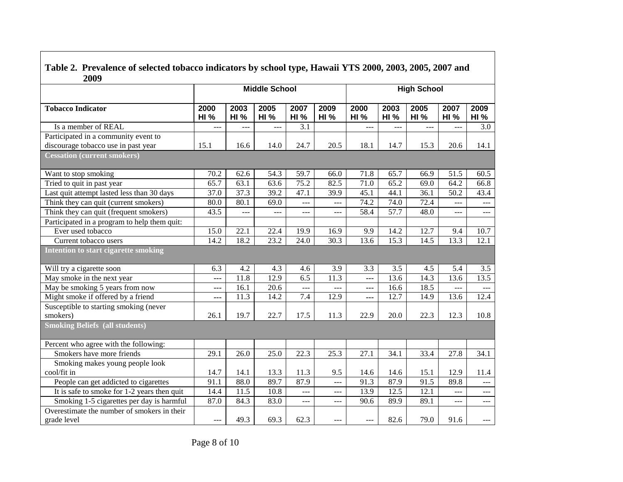| Table 2. TTCvalchec of science tobacco multators by school type, hawait TTD 2000, 2000, 2000, 2007 and<br>2009 |                     |                     |                      |                      |                     |                     |                     |                     |                     |                     |  |  |
|----------------------------------------------------------------------------------------------------------------|---------------------|---------------------|----------------------|----------------------|---------------------|---------------------|---------------------|---------------------|---------------------|---------------------|--|--|
|                                                                                                                |                     |                     | <b>Middle School</b> |                      |                     | <b>High School</b>  |                     |                     |                     |                     |  |  |
| <b>Tobacco Indicator</b>                                                                                       | 2000<br><b>HI %</b> | 2003<br><b>HI %</b> | 2005<br><b>HI %</b>  | 2007<br><b>HI %</b>  | 2009<br><b>HI %</b> | 2000<br><b>HI %</b> | 2003<br><b>HI %</b> | 2005<br><b>HI %</b> | 2007<br><b>HI %</b> | 2009<br><b>HI %</b> |  |  |
| Is a member of REAL                                                                                            | ---                 | ---                 | ---                  | 3.1                  |                     | ---                 | $-$                 | ---                 | ---                 | 3.0                 |  |  |
| Participated in a community event to                                                                           |                     |                     |                      |                      |                     |                     |                     |                     |                     |                     |  |  |
| discourage tobacco use in past year                                                                            | 15.1                | 16.6                | 14.0                 | 24.7                 | 20.5                | 18.1                | 14.7                | 15.3                | 20.6                | 14.1                |  |  |
| <b>Cessation (current smokers)</b>                                                                             |                     |                     |                      |                      |                     |                     |                     |                     |                     |                     |  |  |
| Want to stop smoking                                                                                           | 70.2                | 62.6                | 54.3                 | 59.7                 | 66.0                | 71.8                | 65.7                | 66.9                | 51.5                | 60.5                |  |  |
| Tried to quit in past year                                                                                     | 65.7                | 63.1                | 63.6                 | 75.2                 | 82.5                | 71.0                | 65.2                | 69.0                | 64.2                | 66.8                |  |  |
| Last quit attempt lasted less than 30 days                                                                     | 37.0                | 37.3                | 39.2                 | 47.1                 | 39.9                | 45.1                | 44.1                | 36.1                | 50.2                | 43.4                |  |  |
| Think they can quit (current smokers)                                                                          | 80.0                | 80.1                | 69.0                 | ---                  | ---                 | 74.2                | 74.0                | 72.4                | $---$               | ---                 |  |  |
| Think they can quit (frequent smokers)                                                                         | 43.5                | ---                 | $\overline{a}$       | $---$                | $---$               | 58.4                | 57.7                | 48.0                | ---                 | $\cdots$            |  |  |
| Participated in a program to help them quit:                                                                   |                     |                     |                      |                      |                     |                     |                     |                     |                     |                     |  |  |
| Ever used tobacco                                                                                              | 15.0                | 22.1                | 22.4                 | 19.9                 | 16.9                | 9.9                 | 14.2                | 12.7                | 9.4                 | 10.7                |  |  |
| Current tobacco users                                                                                          | 14.2                | 18.2                | 23.2                 | 24.0                 | 30.3                | 13.6                | 15.3                | 14.5                | 13.3                | 12.1                |  |  |
| <b>Intention to start cigarette smoking</b>                                                                    |                     |                     |                      |                      |                     |                     |                     |                     |                     |                     |  |  |
| Will try a cigarette soon                                                                                      | 6.3                 | 4.2                 | 4.3                  | 4.6                  | 3.9                 | 3.3                 | 3.5                 | 4.5                 | 5.4                 | 3.5                 |  |  |
| May smoke in the next year                                                                                     | ---                 | 11.8                | 12.9                 | $\overline{6.5}$     | 11.3                | ---                 | 13.6                | 14.3                | 13.6                | 13.5                |  |  |
| May be smoking 5 years from now                                                                                | ---                 | 16.1                | 20.6                 | $\sim$ $\sim$ $\sim$ | $---$               | ---                 | 16.6                | 18.5                | $---$               | $---$               |  |  |
| Might smoke if offered by a friend                                                                             | ---                 | 11.3                | 14.2                 | $\overline{7.4}$     | 12.9                |                     | 12.7                | 14.9                | 13.6                | 12.4                |  |  |
| Susceptible to starting smoking (never                                                                         |                     |                     |                      |                      |                     |                     |                     |                     |                     |                     |  |  |
| smokers)                                                                                                       | 26.1                | 19.7                | 22.7                 | 17.5                 | 11.3                | 22.9                | 20.0                | 22.3                | 12.3                | 10.8                |  |  |
| <b>Smoking Beliefs (all students)</b>                                                                          |                     |                     |                      |                      |                     |                     |                     |                     |                     |                     |  |  |
| Percent who agree with the following:                                                                          |                     |                     |                      |                      |                     |                     |                     |                     |                     |                     |  |  |
| Smokers have more friends                                                                                      | 29.1                | 26.0                | 25.0                 | 22.3                 | 25.3                | 27.1                | 34.1                | 33.4                | 27.8                | 34.1                |  |  |
| Smoking makes young people look                                                                                |                     |                     |                      |                      |                     |                     |                     |                     |                     |                     |  |  |
| cool/fit in                                                                                                    | 14.7                | 14.1                | 13.3                 | 11.3                 | 9.5                 | 14.6                | 14.6                | 15.1                | 12.9                | 11.4                |  |  |
| People can get addicted to cigarettes                                                                          | 91.1                | 88.0                | 89.7                 | 87.9                 | $ -$                | 91.3                | 87.9                | 91.5                | 89.8                | $---$               |  |  |
| It is safe to smoke for 1-2 years then quit                                                                    | 14.4                | 11.5                | 10.8                 | $---$                | $---$               | 13.9                | 12.5                | 12.1                | ---                 | $\frac{1}{2}$       |  |  |
| Smoking 1-5 cigarettes per day is harmful                                                                      | 87.0                | 84.3                | 83.0                 | ---                  | ---                 | 90.6                | 89.9                | 89.1                | ---                 | $---$               |  |  |
| Overestimate the number of smokers in their<br>grade level                                                     | $---$               | 49.3                | 69.3                 | 62.3                 | ---                 | ---                 | 82.6                | 79.0                | 91.6                |                     |  |  |

# **Table 2. Prevalence of selected tobacco indicators by school type, Hawaii YTS 2000, 2003, 2005, 2007 and**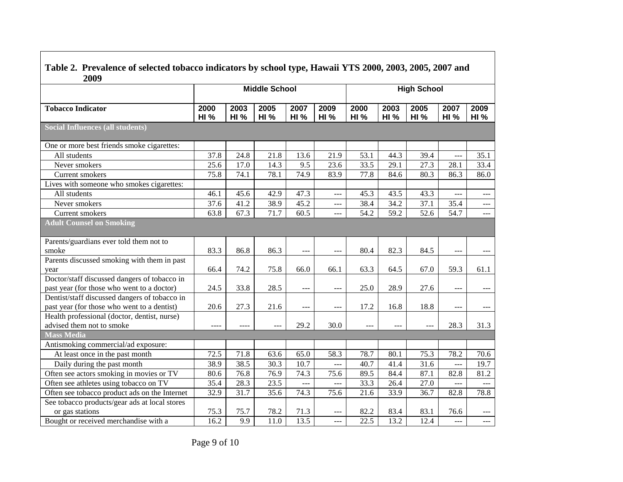| Table 2. Prevalence of selected tobacco indicators by school type, Hawaii YTS 2000, 2003, 2005, 2007 and<br>2009 |                     |                     |                     |                     |                     |                     |                     |                     |                     |                     |  |
|------------------------------------------------------------------------------------------------------------------|---------------------|---------------------|---------------------|---------------------|---------------------|---------------------|---------------------|---------------------|---------------------|---------------------|--|
|                                                                                                                  |                     | <b>High School</b>  |                     |                     |                     |                     |                     |                     |                     |                     |  |
| <b>Tobacco Indicator</b>                                                                                         | 2000<br><b>HI %</b> | 2003<br><b>HI %</b> | 2005<br><b>HI %</b> | 2007<br><b>HI %</b> | 2009<br><b>HI %</b> | 2000<br><b>HI %</b> | 2003<br><b>HI %</b> | 2005<br><b>HI %</b> | 2007<br><b>HI %</b> | 2009<br><b>HI %</b> |  |
| <b>Social Influences (all students)</b>                                                                          |                     |                     |                     |                     |                     |                     |                     |                     |                     |                     |  |
| One or more best friends smoke cigarettes:                                                                       |                     |                     |                     |                     |                     |                     |                     |                     |                     |                     |  |
| All students                                                                                                     | 37.8                | 24.8                | 21.8                | 13.6                | 21.9                | 53.1                | 44.3                | 39.4                | $ -$                | 35.1                |  |
| Never smokers                                                                                                    | 25.6                | 17.0                | 14.3                | 9.5                 | 23.6                | 33.5                | 29.1                | 27.3                | 28.1                | 33.4                |  |
| Current smokers                                                                                                  | 75.8                | 74.1                | 78.1                | 74.9                | 83.9                | 77.8                | 84.6                | 80.3                | 86.3                | 86.0                |  |
| Lives with someone who smokes cigarettes:                                                                        |                     |                     |                     |                     |                     |                     |                     |                     |                     |                     |  |
| All students                                                                                                     | 46.1                | 45.6                | 42.9                | 47.3                | $\overline{a}$      | 45.3                | 43.5                | 43.3                | ---                 | $---$               |  |
| Never smokers                                                                                                    | 37.6                | 41.2                | 38.9                | 45.2                | $---$               | 38.4                | 34.2                | 37.1                | 35.4                | $\qquad \qquad -1$  |  |
| Current smokers                                                                                                  | 63.8                | 67.3                | 71.7                | 60.5                | $---$               | 54.2                | 59.2                | $\overline{52.6}$   | 54.7                | $\frac{1}{2}$       |  |
| <b>Adult Counsel on Smoking</b>                                                                                  |                     |                     |                     |                     |                     |                     |                     |                     |                     |                     |  |
| Parents/guardians ever told them not to                                                                          |                     |                     |                     |                     |                     |                     |                     |                     |                     |                     |  |
| smoke                                                                                                            | 83.3                | 86.8                | 86.3                | $---$               | $---$               | 80.4                | 82.3                | 84.5                | $---$               |                     |  |
| Parents discussed smoking with them in past                                                                      |                     |                     |                     |                     |                     |                     |                     |                     |                     |                     |  |
| year                                                                                                             | 66.4                | 74.2                | 75.8                | 66.0                | 66.1                | 63.3                | 64.5                | 67.0                | 59.3                | 61.1                |  |
| Doctor/staff discussed dangers of tobacco in                                                                     |                     |                     |                     |                     |                     |                     |                     |                     |                     |                     |  |
| past year (for those who went to a doctor)                                                                       | 24.5                | 33.8                | 28.5                | ---                 | $--$                | 25.0                | 28.9                | 27.6                | ---                 |                     |  |
| Dentist/staff discussed dangers of tobacco in                                                                    |                     |                     |                     |                     |                     |                     |                     |                     |                     |                     |  |
| past year (for those who went to a dentist)                                                                      | 20.6                | 27.3                | 21.6                | ---                 | $\sim$ $\sim$       | 17.2                | 16.8                | 18.8                | $---$               |                     |  |
| Health professional (doctor, dentist, nurse)                                                                     |                     |                     |                     | 29.2                |                     |                     |                     |                     |                     |                     |  |
| advised them not to smoke<br><b>Mass Media</b>                                                                   |                     | $---$               | ---                 |                     | 30.0                | $---$               | $---$               | $---$               | 28.3                | 31.3                |  |
| Antismoking commercial/ad exposure:                                                                              |                     |                     |                     |                     |                     |                     |                     |                     |                     |                     |  |
| At least once in the past month                                                                                  | 72.5                | 71.8                | 63.6                | 65.0                | 58.3                | 78.7                | 80.1                | 75.3                | 78.2                | 70.6                |  |
| Daily during the past month                                                                                      | 38.9                | 38.5                | 30.3                | 10.7                | ---                 | 40.7                | 41.4                | 31.6                | ---                 | 19.7                |  |
| Often see actors smoking in movies or TV                                                                         | 80.6                | 76.8                | 76.9                | 74.3                | 75.6                | 89.5                | 84.4                | 87.1                | 82.8                | 81.2                |  |
| Often see athletes using tobacco on TV                                                                           | 35.4                | 28.3                | 23.5                | $ -$                | ---                 | 33.3                | 26.4                | 27.0                |                     |                     |  |
|                                                                                                                  |                     | 31.7                |                     | 74.3                |                     |                     |                     | 36.7                |                     | ---<br>78.8         |  |
| Often see tobacco product ads on the Internet<br>See tobacco products/gear ads at local stores                   | 32.9                |                     | 35.6                |                     | 75.6                | 21.6                | 33.9                |                     | 82.8                |                     |  |
| or gas stations                                                                                                  | 75.3                | 75.7                | 78.2                | 71.3                | $---$               | 82.2                | 83.4                | 83.1                | 76.6                | $---$               |  |
| Bought or received merchandise with a                                                                            | 16.2                | 9.9                 | $\overline{11.0}$   | 13.5                |                     | 22.5                | 13.2                | 12.4                |                     |                     |  |

# **Table 2. Prevalence of selected tobacco indicators by school type, Hawaii YTS 2000, 2003, 2005, 2007 and**